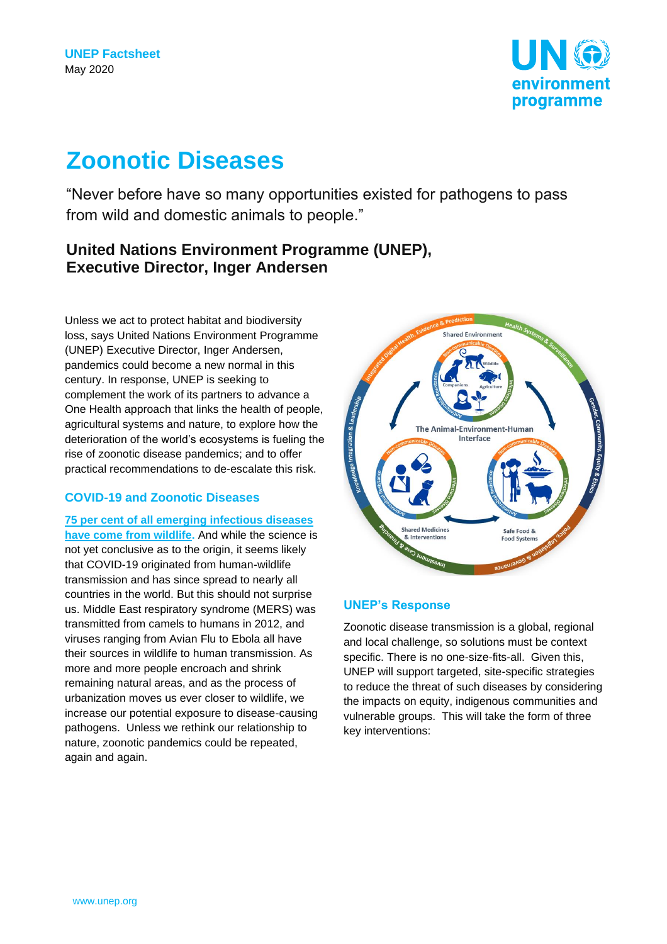

# **Zoonotic Diseases**

"Never before have so many opportunities existed for pathogens to pass from wild and domestic animals to people."

# **United Nations Environment Programme (UNEP), Executive Director, Inger Andersen**

Unless we act to protect habitat and biodiversity loss, says United Nations Environment Programme (UNEP) Executive Director, Inger Andersen, pandemics could become a new normal in this century. In response, UNEP is seeking to complement the work of its partners to advance a One Health approach that links the health of people, agricultural systems and nature, to explore how the deterioration of the world's ecosystems is fueling the rise of zoonotic disease pandemics; and to offer practical recommendations to de-escalate this risk.

# **COVID-19 and Zoonotic Diseases**

**[75 per cent of all emerging infectious diseases](https://www.ncbi.nlm.nih.gov/pubmed/11516376)  [have come from wildlife.](https://www.ncbi.nlm.nih.gov/pubmed/11516376)** And while the science is not yet conclusive as to the origin, it seems likely that COVID-19 originated from human-wildlife transmission and has since spread to nearly all countries in the world. But this should not surprise us. Middle East respiratory syndrome (MERS) was transmitted from camels to humans in 2012, and viruses ranging from Avian Flu to Ebola all have their sources in wildlife to human transmission. As more and more people encroach and shrink remaining natural areas, and as the process of urbanization moves us ever closer to wildlife, we increase our potential exposure to disease-causing pathogens. Unless we rethink our relationship to nature, zoonotic pandemics could be repeated, again and again.



# **UNEP's Response**

Zoonotic disease transmission is a global, regional and local challenge, so solutions must be context specific. There is no one-size-fits-all. Given this, UNEP will support targeted, site-specific strategies to reduce the threat of such diseases by considering the impacts on equity, indigenous communities and vulnerable groups. This will take the form of three key interventions: